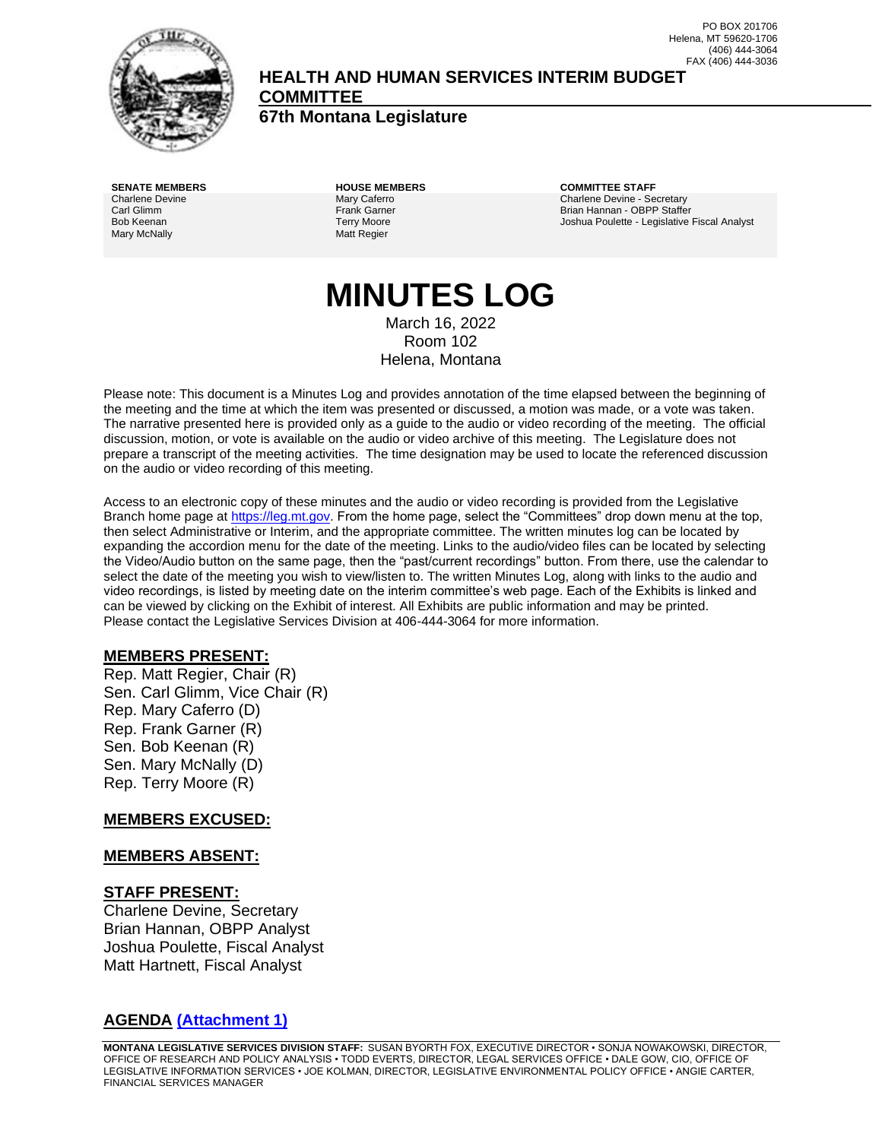

# **HEALTH AND HUMAN SERVICES INTERIM BUDGET**

**COMMITTEE**

**67th Montana Legislature**

Charlene Devine Carl Glimm Bob Keenan Mary McNally

**SENATE MEMBERS HOUSE MEMBERS COMMITTEE STAFF** Mary Caferro Frank Garner Terry Moore Matt Regier

Charlene Devine - Secretary Brian Hannan - OBPP Staffer Joshua Poulette - Legislative Fiscal Analyst

**MINUTES LOG** March 16, 2022 Room 102

Helena, Montana

Please note: This document is a Minutes Log and provides annotation of the time elapsed between the beginning of the meeting and the time at which the item was presented or discussed, a motion was made, or a vote was taken. The narrative presented here is provided only as a guide to the audio or video recording of the meeting. The official discussion, motion, or vote is available on the audio or video archive of this meeting. The Legislature does not prepare a transcript of the meeting activities. The time designation may be used to locate the referenced discussion on the audio or video recording of this meeting.

Access to an electronic copy of these minutes and the audio or video recording is provided from the Legislative Branch home page a[t https://leg.mt.gov.](http://legmt.gov/) From the home page, select the "Committees" drop down menu at the top, then select Administrative or Interim, and the appropriate committee. The written minutes log can be located by expanding the accordion menu for the date of the meeting. Links to the audio/video files can be located by selecting the Video/Audio button on the same page, then the "past/current recordings" button. From there, use the calendar to select the date of the meeting you wish to view/listen to. The written Minutes Log, along with links to the audio and video recordings, is listed by meeting date on the interim committee's web page. Each of the Exhibits is linked and can be viewed by clicking on the Exhibit of interest. All Exhibits are public information and may be printed. Please contact the Legislative Services Division at 406-444-3064 for more information.

#### **MEMBERS PRESENT:**

Rep. Matt Regier, Chair (R) Sen. Carl Glimm, Vice Chair (R) Rep. Mary Caferro (D) Rep. Frank Garner (R) Sen. Bob Keenan (R) Sen. Mary McNally (D) Rep. Terry Moore (R)

## **MEMBERS EXCUSED:**

#### **MEMBERS ABSENT:**

#### **STAFF PRESENT:**

Charlene Devine, Secretary Brian Hannan, OBPP Analyst Joshua Poulette, Fiscal Analyst Matt Hartnett, Fiscal Analyst

## **AGENDA [\(Attachment 1\)](http://legmt.gov/)**

**MONTANA LEGISLATIVE SERVICES DIVISION STAFF:** SUSAN BYORTH FOX, EXECUTIVE DIRECTOR • SONJA NOWAKOWSKI, DIRECTOR, OFFICE OF RESEARCH AND POLICY ANALYSIS • TODD EVERTS, DIRECTOR, LEGAL SERVICES OFFICE • DALE GOW, CIO, OFFICE OF LEGISLATIVE INFORMATION SERVICES • JOE KOLMAN, DIRECTOR, LEGISLATIVE ENVIRONMENTAL POLICY OFFICE • ANGIE CARTER, FINANCIAL SERVICES MANAGER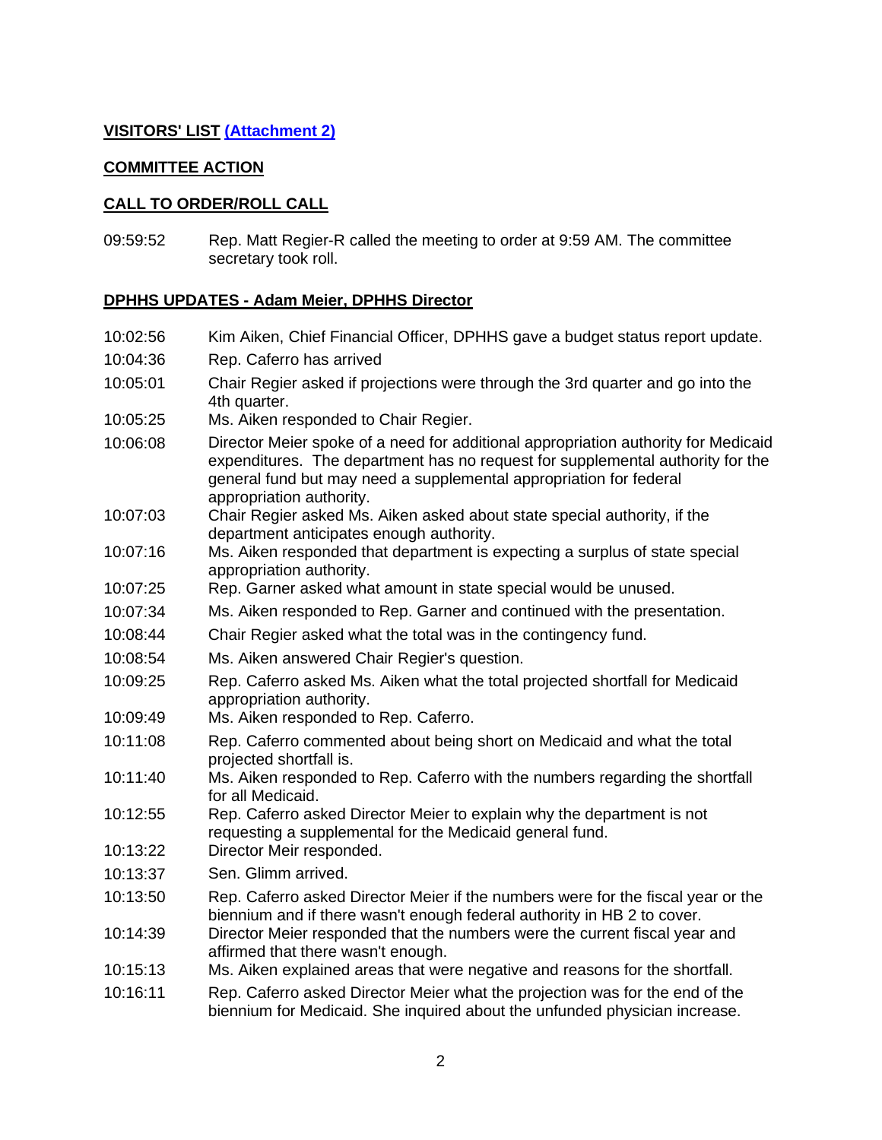## **VISITORS' LIST [\(Attachment 2\)](http://legmt.gov/)**

### **COMMITTEE ACTION**

## **CALL TO ORDER/ROLL CALL**

09:59:52 Rep. Matt Regier-R called the meeting to order at 9:59 AM. The committee secretary took roll.

#### **DPHHS UPDATES - Adam Meier, DPHHS Director**

10:02:56 Kim Aiken, Chief Financial Officer, DPHHS gave a budget status report update. 10:04:36 Rep. Caferro has arrived 10:05:01 Chair Regier asked if projections were through the 3rd quarter and go into the 4th quarter. 10:05:25 Ms. Aiken responded to Chair Regier. 10:06:08 Director Meier spoke of a need for additional appropriation authority for Medicaid expenditures. The department has no request for supplemental authority for the general fund but may need a supplemental appropriation for federal appropriation authority. 10:07:03 Chair Regier asked Ms. Aiken asked about state special authority, if the department anticipates enough authority. 10:07:16 Ms. Aiken responded that department is expecting a surplus of state special appropriation authority. 10:07:25 Rep. Garner asked what amount in state special would be unused. 10:07:34 Ms. Aiken responded to Rep. Garner and continued with the presentation. 10:08:44 Chair Regier asked what the total was in the contingency fund. 10:08:54 Ms. Aiken answered Chair Regier's question. 10:09:25 Rep. Caferro asked Ms. Aiken what the total projected shortfall for Medicaid appropriation authority. 10:09:49 Ms. Aiken responded to Rep. Caferro. 10:11:08 Rep. Caferro commented about being short on Medicaid and what the total projected shortfall is. 10:11:40 Ms. Aiken responded to Rep. Caferro with the numbers regarding the shortfall for all Medicaid. 10:12:55 Rep. Caferro asked Director Meier to explain why the department is not requesting a supplemental for the Medicaid general fund. 10:13:22 Director Meir responded. 10:13:37 Sen. Glimm arrived. 10:13:50 Rep. Caferro asked Director Meier if the numbers were for the fiscal year or the biennium and if there wasn't enough federal authority in HB 2 to cover. 10:14:39 Director Meier responded that the numbers were the current fiscal year and affirmed that there wasn't enough. 10:15:13 Ms. Aiken explained areas that were negative and reasons for the shortfall. 10:16:11 Rep. Caferro asked Director Meier what the projection was for the end of the biennium for Medicaid. She inquired about the unfunded physician increase.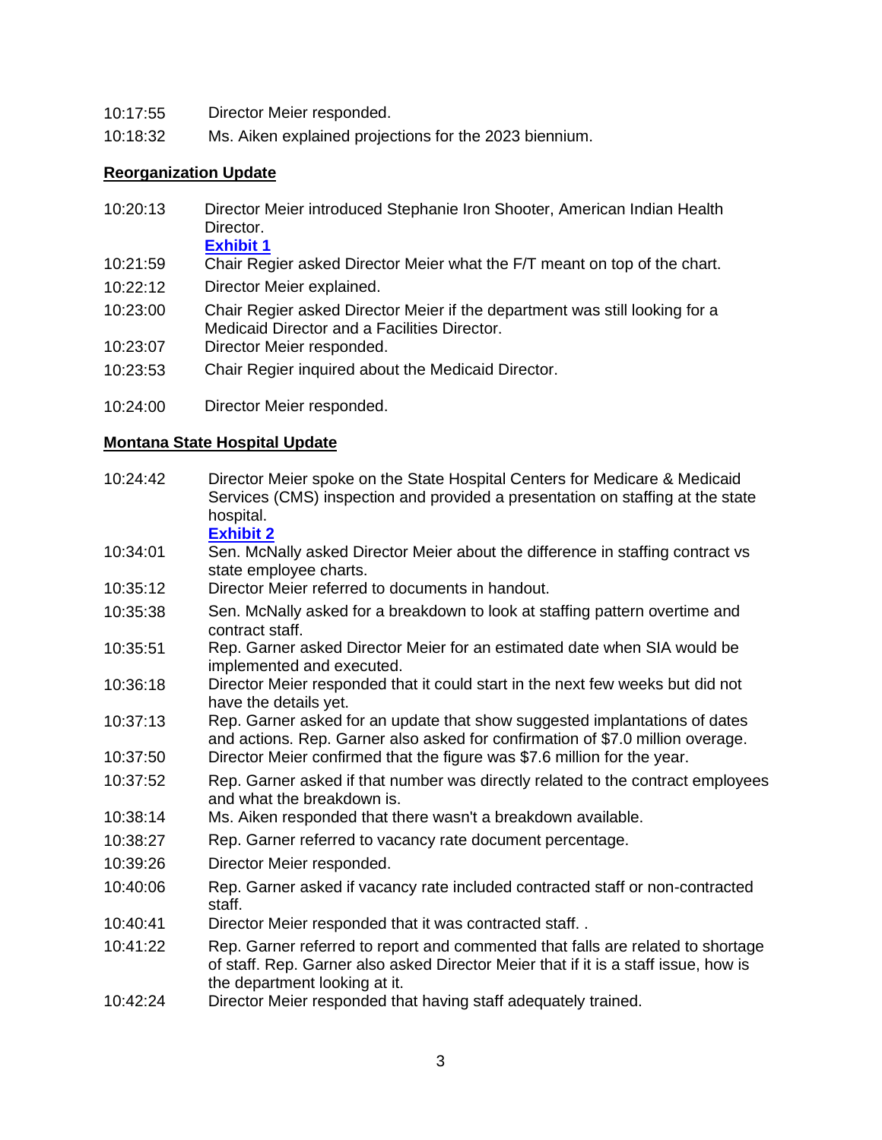| 10:17:55 | Director Meier responded. |  |
|----------|---------------------------|--|
|          |                           |  |

10:18:32 Ms. Aiken explained projections for the 2023 biennium.

## **Reorganization Update**

- 10:20:13 Director Meier introduced Stephanie Iron Shooter, American Indian Health Director. **[Exhibit 1](https://leg.mt.gov/content/publications/fiscal/2023-Interim/IBC-B/RFFlow-DPHHS-Organization-03102022.pdf)**
- 10:21:59 Chair Regier asked Director Meier what the F/T meant on top of the chart.
- 10:22:12 Director Meier explained.
- 10:23:00 Chair Regier asked Director Meier if the department was still looking for a Medicaid Director and a Facilities Director.
- 10:23:07 Director Meier responded.
- 10:23:53 Chair Regier inquired about the Medicaid Director.
- 10:24:00 Director Meier responded.

#### **Montana State Hospital Update**

10:24:42 Director Meier spoke on the State Hospital Centers for Medicare & Medicaid Services (CMS) inspection and provided a presentation on staffing at the state hospital. **[Exhibit 2](https://leg.mt.gov/content/publications/fiscal/2023-Interim/IBC-B/Exhibit2.pdf)** 10:34:01 Sen. McNally asked Director Meier about the difference in staffing contract vs state employee charts. 10:35:12 Director Meier referred to documents in handout. 10:35:38 Sen. McNally asked for a breakdown to look at staffing pattern overtime and contract staff. 10:35:51 Rep. Garner asked Director Meier for an estimated date when SIA would be implemented and executed. 10:36:18 Director Meier responded that it could start in the next few weeks but did not have the details yet. 10:37:13 Rep. Garner asked for an update that show suggested implantations of dates and actions. Rep. Garner also asked for confirmation of \$7.0 million overage. 10:37:50 Director Meier confirmed that the figure was \$7.6 million for the year. 10:37:52 Rep. Garner asked if that number was directly related to the contract employees and what the breakdown is. 10:38:14 Ms. Aiken responded that there wasn't a breakdown available. 10:38:27 Rep. Garner referred to vacancy rate document percentage. 10:39:26 Director Meier responded. 10:40:06 Rep. Garner asked if vacancy rate included contracted staff or non-contracted staff. 10:40:41 Director Meier responded that it was contracted staff. . 10:41:22 Rep. Garner referred to report and commented that falls are related to shortage of staff. Rep. Garner also asked Director Meier that if it is a staff issue, how is the department looking at it. 10:42:24 Director Meier responded that having staff adequately trained.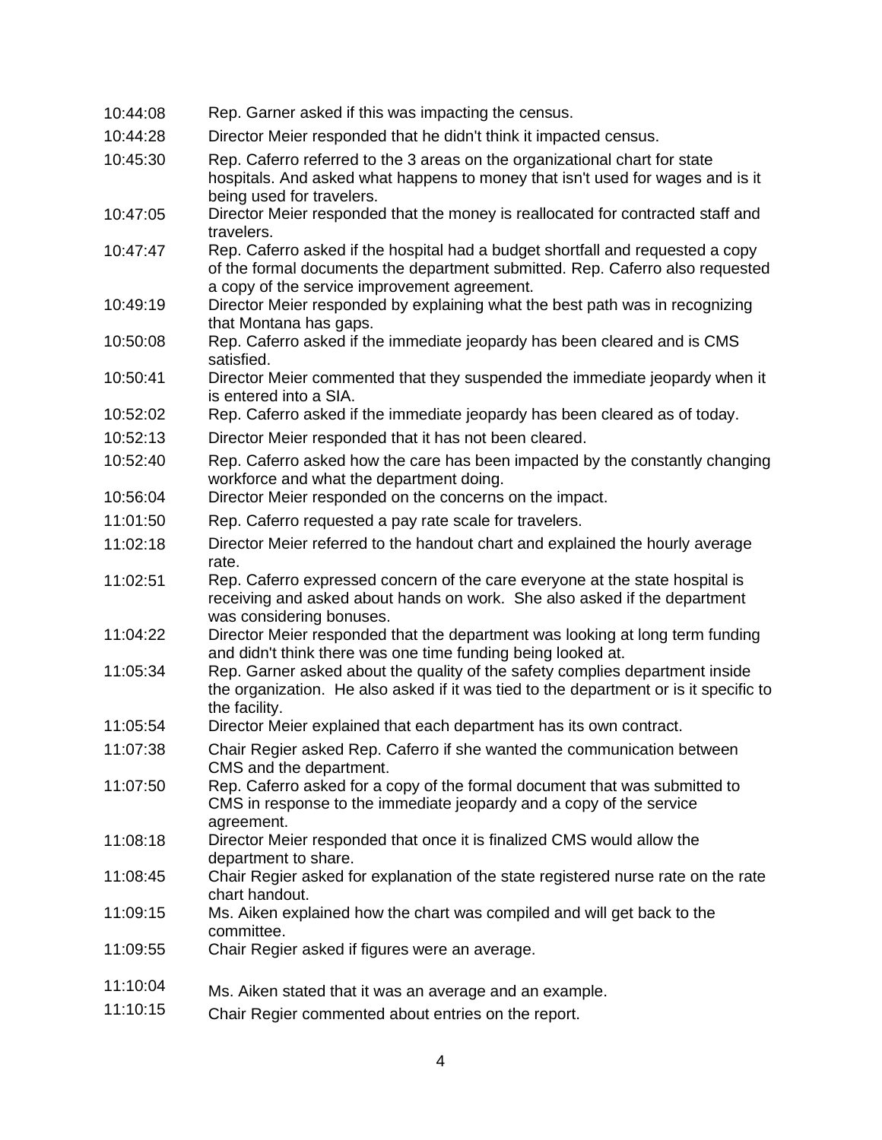| 10:44:08 | Rep. Garner asked if this was impacting the census.                                                                                                                                                             |
|----------|-----------------------------------------------------------------------------------------------------------------------------------------------------------------------------------------------------------------|
| 10:44:28 | Director Meier responded that he didn't think it impacted census.                                                                                                                                               |
| 10:45:30 | Rep. Caferro referred to the 3 areas on the organizational chart for state<br>hospitals. And asked what happens to money that isn't used for wages and is it<br>being used for travelers.                       |
| 10:47:05 | Director Meier responded that the money is reallocated for contracted staff and<br>travelers.                                                                                                                   |
| 10:47:47 | Rep. Caferro asked if the hospital had a budget shortfall and requested a copy<br>of the formal documents the department submitted. Rep. Caferro also requested<br>a copy of the service improvement agreement. |
| 10:49:19 | Director Meier responded by explaining what the best path was in recognizing<br>that Montana has gaps.                                                                                                          |
| 10:50:08 | Rep. Caferro asked if the immediate jeopardy has been cleared and is CMS<br>satisfied.                                                                                                                          |
| 10:50:41 | Director Meier commented that they suspended the immediate jeopardy when it<br>is entered into a SIA.                                                                                                           |
| 10:52:02 | Rep. Caferro asked if the immediate jeopardy has been cleared as of today.                                                                                                                                      |
| 10:52:13 | Director Meier responded that it has not been cleared.                                                                                                                                                          |
| 10:52:40 | Rep. Caferro asked how the care has been impacted by the constantly changing<br>workforce and what the department doing.                                                                                        |
| 10:56:04 | Director Meier responded on the concerns on the impact.                                                                                                                                                         |
| 11:01:50 | Rep. Caferro requested a pay rate scale for travelers.                                                                                                                                                          |
| 11:02:18 | Director Meier referred to the handout chart and explained the hourly average<br>rate.                                                                                                                          |
| 11:02:51 | Rep. Caferro expressed concern of the care everyone at the state hospital is<br>receiving and asked about hands on work. She also asked if the department<br>was considering bonuses.                           |
| 11:04:22 | Director Meier responded that the department was looking at long term funding<br>and didn't think there was one time funding being looked at.                                                                   |
| 11:05:34 | Rep. Garner asked about the quality of the safety complies department inside<br>the organization. He also asked if it was tied to the department or is it specific to<br>the facility.                          |
| 11:05:54 | Director Meier explained that each department has its own contract.                                                                                                                                             |
| 11:07:38 | Chair Regier asked Rep. Caferro if she wanted the communication between<br>CMS and the department.                                                                                                              |
| 11:07:50 | Rep. Caferro asked for a copy of the formal document that was submitted to<br>CMS in response to the immediate jeopardy and a copy of the service<br>agreement.                                                 |
| 11:08:18 | Director Meier responded that once it is finalized CMS would allow the<br>department to share.                                                                                                                  |
| 11:08:45 | Chair Regier asked for explanation of the state registered nurse rate on the rate<br>chart handout.                                                                                                             |
| 11:09:15 | Ms. Aiken explained how the chart was compiled and will get back to the<br>committee.                                                                                                                           |
| 11:09:55 | Chair Regier asked if figures were an average.                                                                                                                                                                  |
| 11:10:04 | Ms. Aiken stated that it was an average and an example.                                                                                                                                                         |
| 11:10:15 | Chair Regier commented about entries on the report.                                                                                                                                                             |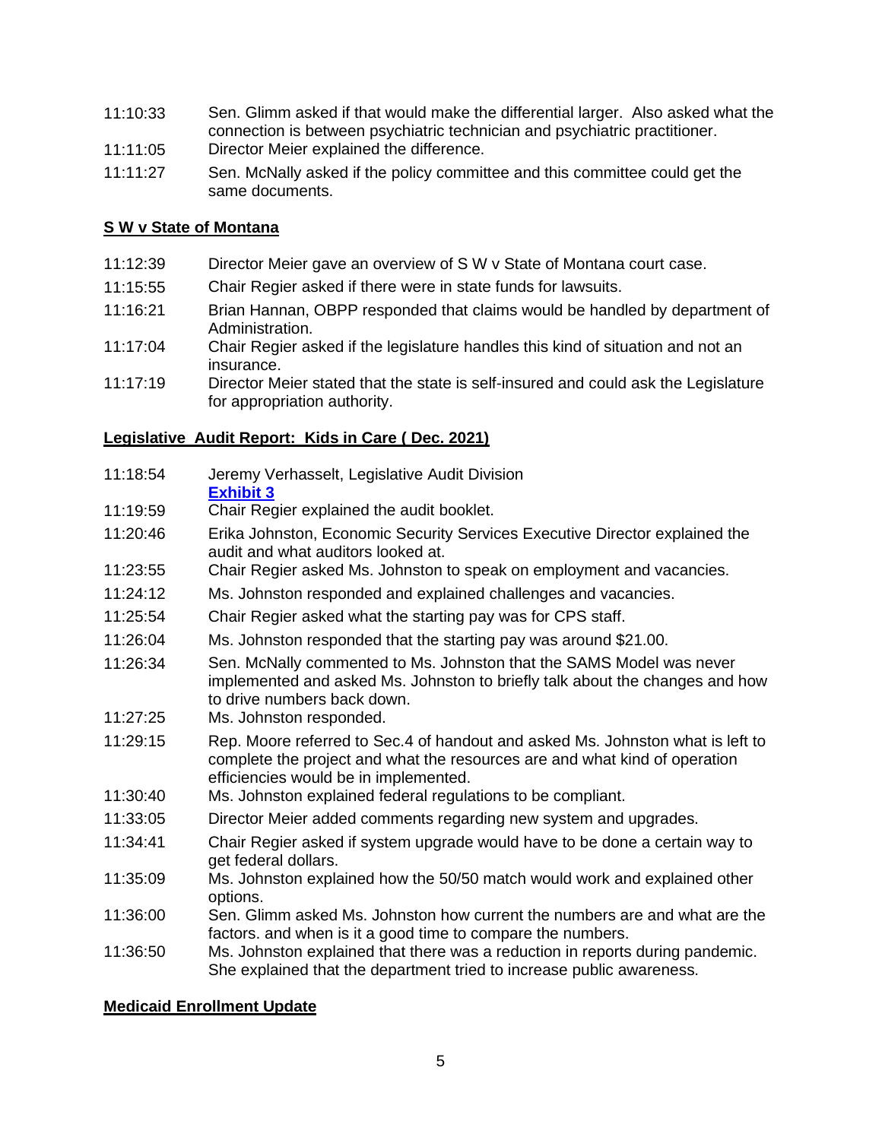- 11:10:33 Sen. Glimm asked if that would make the differential larger. Also asked what the connection is between psychiatric technician and psychiatric practitioner.
- 11:11:05 Director Meier explained the difference.
- 11:11:27 Sen. McNally asked if the policy committee and this committee could get the same documents.

## **S W v State of Montana**

- 11:12:39 Director Meier gave an overview of S W v State of Montana court case.
- 11:15:55 Chair Regier asked if there were in state funds for lawsuits.
- 11:16:21 Brian Hannan, OBPP responded that claims would be handled by department of Administration.
- 11:17:04 Chair Regier asked if the legislature handles this kind of situation and not an insurance.
- 11:17:19 Director Meier stated that the state is self-insured and could ask the Legislature for appropriation authority.

## **Legislative Audit Report: Kids in Care ( Dec. 2021)**

- 11:18:54 Jeremy Verhasselt, Legislative Audit Division
- **[Exhibit 3](https://leg.mt.gov/content/Committees/Administration/audit/2021-22/Meetings/Jan-2022/19P-01.pdf)**
- 11:19:59 Chair Regier explained the audit booklet.
- 11:20:46 Erika Johnston, Economic Security Services Executive Director explained the audit and what auditors looked at.
- 11:23:55 Chair Regier asked Ms. Johnston to speak on employment and vacancies.
- 11:24:12 Ms. Johnston responded and explained challenges and vacancies.
- 11:25:54 Chair Regier asked what the starting pay was for CPS staff.
- 11:26:04 Ms. Johnston responded that the starting pay was around \$21.00.
- 11:26:34 Sen. McNally commented to Ms. Johnston that the SAMS Model was never implemented and asked Ms. Johnston to briefly talk about the changes and how to drive numbers back down.
- 11:27:25 Ms. Johnston responded.
- 11:29:15 Rep. Moore referred to Sec.4 of handout and asked Ms. Johnston what is left to complete the project and what the resources are and what kind of operation efficiencies would be in implemented.
- 11:30:40 Ms. Johnston explained federal regulations to be compliant.
- 11:33:05 Director Meier added comments regarding new system and upgrades.
- 11:34:41 Chair Regier asked if system upgrade would have to be done a certain way to get federal dollars.
- 11:35:09 Ms. Johnston explained how the 50/50 match would work and explained other options.
- 11:36:00 Sen. Glimm asked Ms. Johnston how current the numbers are and what are the factors. and when is it a good time to compare the numbers.
- 11:36:50 Ms. Johnston explained that there was a reduction in reports during pandemic. She explained that the department tried to increase public awareness.

## **Medicaid Enrollment Update**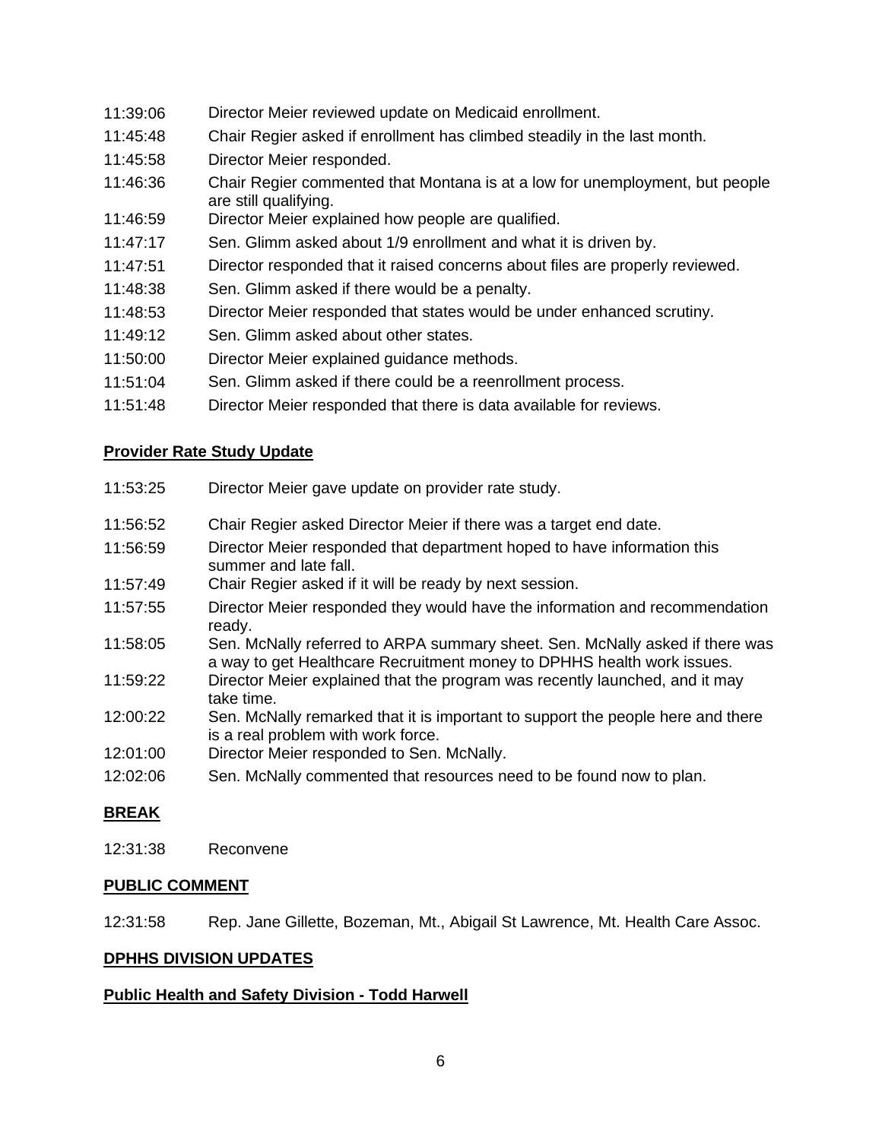- 11:39:06 Director Meier reviewed update on Medicaid enrollment.
- 11:45:48 Chair Regier asked if enrollment has climbed steadily in the last month.
- 11:45:58 Director Meier responded.
- 11:46:36 Chair Regier commented that Montana is at a low for unemployment, but people are still qualifying.
- 11:46:59 Director Meier explained how people are qualified.
- 11:47:17 Sen. Glimm asked about 1/9 enrollment and what it is driven by.
- 11:47:51 Director responded that it raised concerns about files are properly reviewed.
- 11:48:38 Sen. Glimm asked if there would be a penalty.
- 11:48:53 Director Meier responded that states would be under enhanced scrutiny.
- 11:49:12 Sen. Glimm asked about other states.
- 11:50:00 Director Meier explained guidance methods.
- 11:51:04 Sen. Glimm asked if there could be a reenrollment process.
- 11:51:48 Director Meier responded that there is data available for reviews.

## **Provider Rate Study Update**

- 11:53:25 Director Meier gave update on provider rate study.
- 11:56:52 Chair Regier asked Director Meier if there was a target end date.
- 11:56:59 Director Meier responded that department hoped to have information this summer and late fall.
- 11:57:49 Chair Regier asked if it will be ready by next session.
- 11:57:55 Director Meier responded they would have the information and recommendation ready.
- 11:58:05 Sen. McNally referred to ARPA summary sheet. Sen. McNally asked if there was a way to get Healthcare Recruitment money to DPHHS health work issues.
- 11:59:22 Director Meier explained that the program was recently launched, and it may take time.
- 12:00:22 Sen. McNally remarked that it is important to support the people here and there is a real problem with work force.
- 12:01:00 Director Meier responded to Sen. McNally.
- 12:02:06 Sen. McNally commented that resources need to be found now to plan.

## **BREAK**

12:31:38 Reconvene

## **PUBLIC COMMENT**

12:31:58 Rep. Jane Gillette, Bozeman, Mt., Abigail St Lawrence, Mt. Health Care Assoc.

## **DPHHS DIVISION UPDATES**

## **Public Health and Safety Division - Todd Harwell**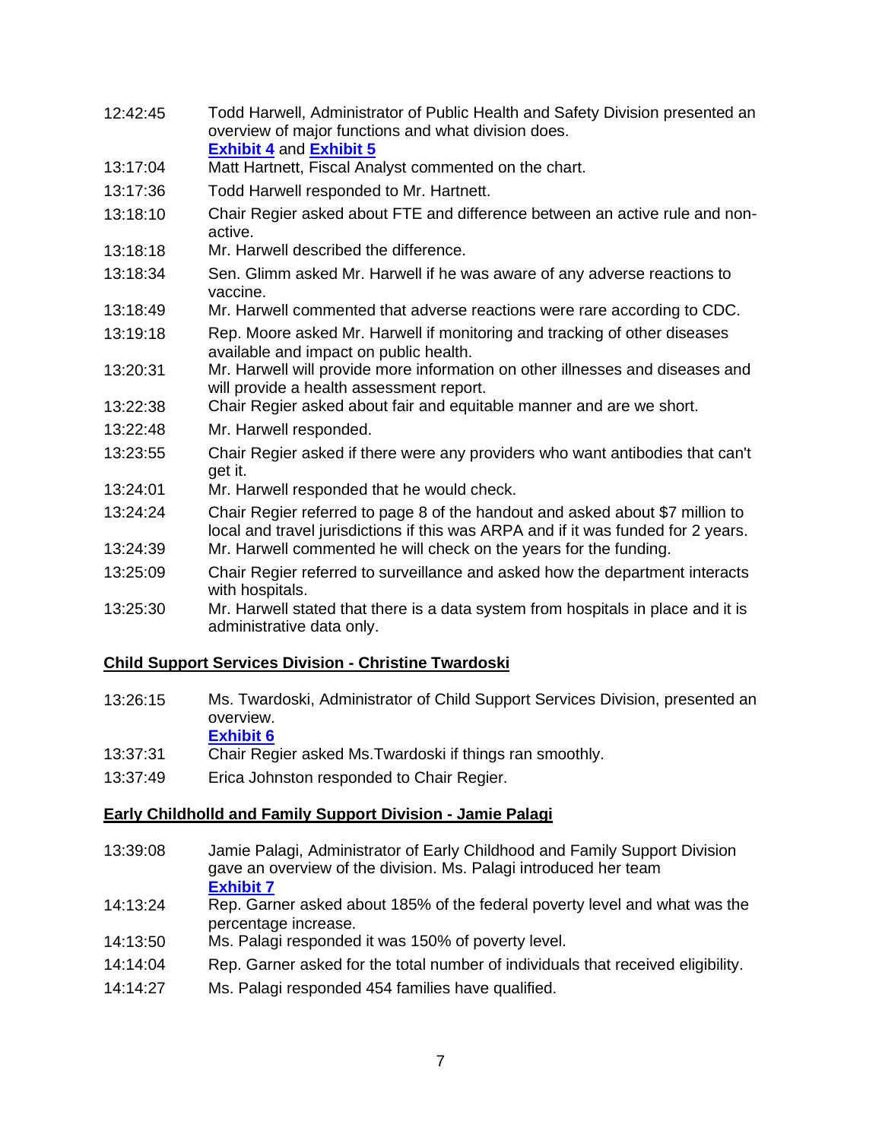- 12:42:45 Todd Harwell, Administrator of Public Health and Safety Division presented an overview of major functions and what division does. **[Exhibit 4](https://leg.mt.gov/content/publications/fiscal/2023-Interim/IBC-B/07_PHSD.pdf)** and **[Exhibit 5](https://leg.mt.gov/content/publications/fiscal/2023-Interim/IBC-B/COVID19Comparisonreport20202021andAppendixFNL.pdf)**
- 13:17:04 Matt Hartnett, Fiscal Analyst commented on the chart.
- 13:17:36 Todd Harwell responded to Mr. Hartnett.
- 13:18:10 Chair Regier asked about FTE and difference between an active rule and nonactive.
- 13:18:18 Mr. Harwell described the difference.
- 13:18:34 Sen. Glimm asked Mr. Harwell if he was aware of any adverse reactions to vaccine.
- 13:18:49 Mr. Harwell commented that adverse reactions were rare according to CDC.
- 13:19:18 Rep. Moore asked Mr. Harwell if monitoring and tracking of other diseases available and impact on public health.
- 13:20:31 Mr. Harwell will provide more information on other illnesses and diseases and will provide a health assessment report.
- 13:22:38 Chair Regier asked about fair and equitable manner and are we short.
- 13:22:48 Mr. Harwell responded.
- 13:23:55 Chair Regier asked if there were any providers who want antibodies that can't get it.
- 13:24:01 Mr. Harwell responded that he would check.
- 13:24:24 Chair Regier referred to page 8 of the handout and asked about \$7 million to local and travel jurisdictions if this was ARPA and if it was funded for 2 years.
- 13:24:39 Mr. Harwell commented he will check on the years for the funding.
- 13:25:09 Chair Regier referred to surveillance and asked how the department interacts with hospitals.
- 13:25:30 Mr. Harwell stated that there is a data system from hospitals in place and it is administrative data only.

## **Child Support Services Division - Christine Twardoski**

13:26:15 Ms. Twardoski, Administrator of Child Support Services Division, presented an overview.

# **[Exhibit 6](https://leg.mt.gov/content/publications/fiscal/2023-Interim/IBC-B/05_CSSD.pdf)**

- 13:37:31 Chair Regier asked Ms.Twardoski if things ran smoothly.
- 13:37:49 Erica Johnston responded to Chair Regier.

## **Early Childholld and Family Support Division - Jamie Palagi**

- 13:39:08 Jamie Palagi, Administrator of Early Childhood and Family Support Division gave an overview of the division. Ms. Palagi introduced her team **[Exhibit 7](https://leg.mt.gov/content/publications/fiscal/2023-Interim/IBC-B/25_ECFSD_IBC%203.16.22.pdf)**
- 14:13:24 Rep. Garner asked about 185% of the federal poverty level and what was the percentage increase.
- 14:13:50 Ms. Palagi responded it was 150% of poverty level.
- 14:14:04 Rep. Garner asked for the total number of individuals that received eligibility.
- 14:14:27 Ms. Palagi responded 454 families have qualified.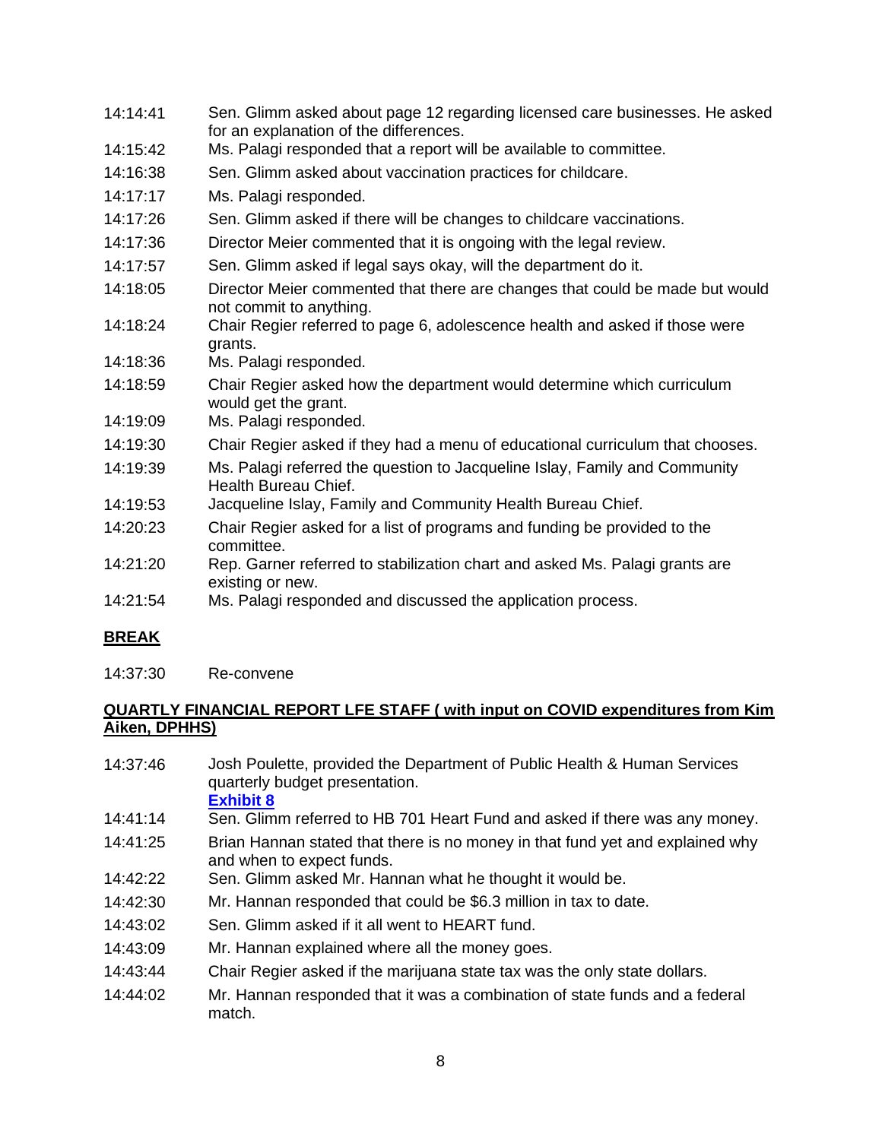| 14:14:41 | Sen. Glimm asked about page 12 regarding licensed care businesses. He asked<br>for an explanation of the differences. |
|----------|-----------------------------------------------------------------------------------------------------------------------|
| 14:15:42 | Ms. Palagi responded that a report will be available to committee.                                                    |
| 14:16:38 | Sen. Glimm asked about vaccination practices for childcare.                                                           |
| 14:17:17 | Ms. Palagi responded.                                                                                                 |
| 14:17:26 | Sen. Glimm asked if there will be changes to childcare vaccinations.                                                  |
| 14:17:36 | Director Meier commented that it is ongoing with the legal review.                                                    |
| 14:17:57 | Sen. Glimm asked if legal says okay, will the department do it.                                                       |
| 14:18:05 | Director Meier commented that there are changes that could be made but would<br>not commit to anything.               |
| 14:18:24 | Chair Regier referred to page 6, adolescence health and asked if those were<br>grants.                                |
| 14:18:36 | Ms. Palagi responded.                                                                                                 |
| 14:18:59 | Chair Regier asked how the department would determine which curriculum<br>would get the grant.                        |
| 14:19:09 | Ms. Palagi responded.                                                                                                 |
| 14:19:30 | Chair Regier asked if they had a menu of educational curriculum that chooses.                                         |
| 14:19:39 | Ms. Palagi referred the question to Jacqueline Islay, Family and Community<br>Health Bureau Chief.                    |
| 14:19:53 | Jacqueline Islay, Family and Community Health Bureau Chief.                                                           |
| 14:20:23 | Chair Regier asked for a list of programs and funding be provided to the<br>committee.                                |
| 14:21:20 | Rep. Garner referred to stabilization chart and asked Ms. Palagi grants are<br>existing or new.                       |
| 14:21:54 | Ms. Palagi responded and discussed the application process.                                                           |

## **BREAK**

14:37:30 Re-convene

## **QUARTLY FINANCIAL REPORT LFE STAFF ( with input on COVID expenditures from Kim Aiken, DPHHS)**

- 14:37:46 Josh Poulette, provided the Department of Public Health & Human Services quarterly budget presentation. **[Exhibit 8](https://leg.mt.gov/content/publications/fiscal/2023-Interim/FY22-March/DPHHS.pdf)**
- 14:41:14 Sen. Glimm referred to HB 701 Heart Fund and asked if there was any money.
- 14:41:25 Brian Hannan stated that there is no money in that fund yet and explained why and when to expect funds.
- 14:42:22 Sen. Glimm asked Mr. Hannan what he thought it would be.
- 14:42:30 Mr. Hannan responded that could be \$6.3 million in tax to date.
- 14:43:02 Sen. Glimm asked if it all went to HEART fund.
- 14:43:09 Mr. Hannan explained where all the money goes.
- 14:43:44 Chair Regier asked if the marijuana state tax was the only state dollars.
- 14:44:02 Mr. Hannan responded that it was a combination of state funds and a federal match.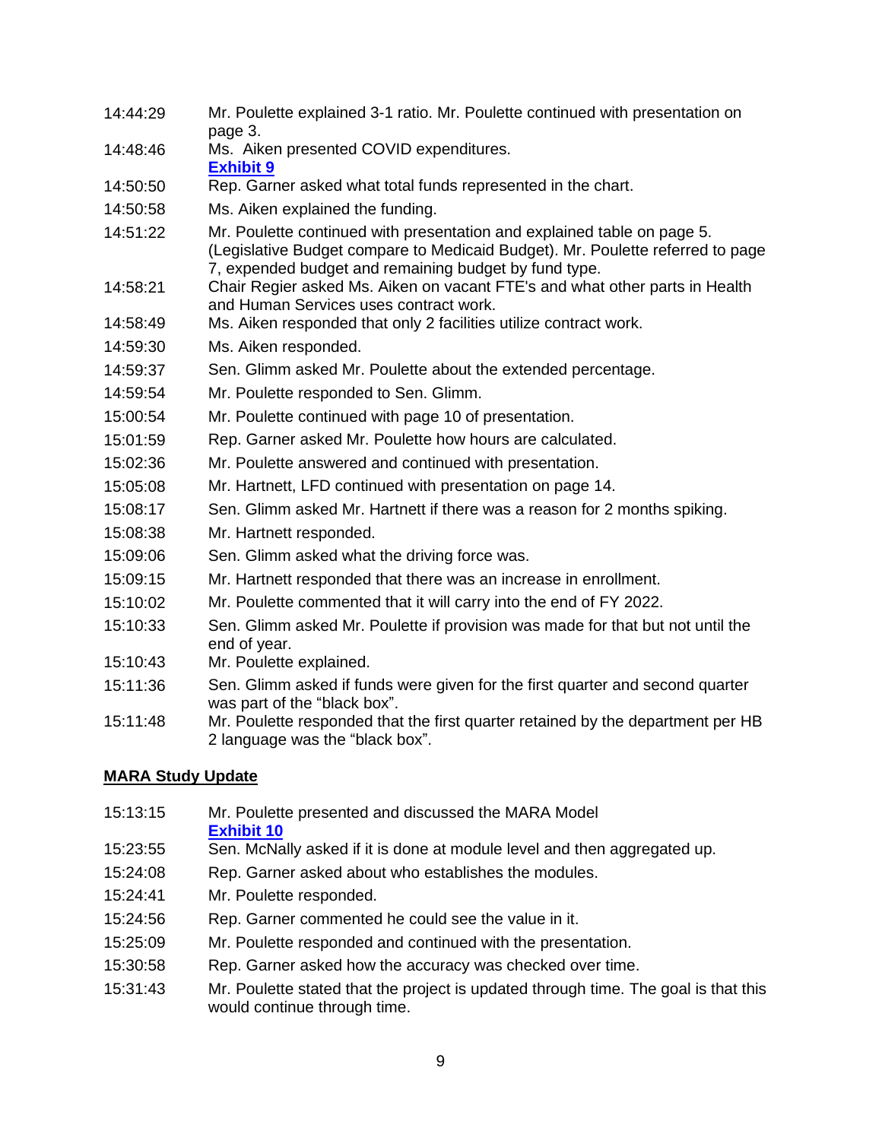- 14:44:29 Mr. Poulette explained 3-1 ratio. Mr. Poulette continued with presentation on page 3.
- 14:48:46 Ms. Aiken presented COVID expenditures.
	- **[Exhibit 9](https://leg.mt.gov/content/publications/fiscal/2023-Interim/IBC-B/ARPA-CARES-II-Implementation-Status-03152022.pdf)**
- 14:50:50 Rep. Garner asked what total funds represented in the chart.
- 14:50:58 Ms. Aiken explained the funding.
- 14:51:22 Mr. Poulette continued with presentation and explained table on page 5. (Legislative Budget compare to Medicaid Budget). Mr. Poulette referred to page 7, expended budget and remaining budget by fund type.
- 14:58:21 Chair Regier asked Ms. Aiken on vacant FTE's and what other parts in Health and Human Services uses contract work.
- 14:58:49 Ms. Aiken responded that only 2 facilities utilize contract work.
- 14:59:30 Ms. Aiken responded.
- 14:59:37 Sen. Glimm asked Mr. Poulette about the extended percentage.
- 14:59:54 Mr. Poulette responded to Sen. Glimm.
- 15:00:54 Mr. Poulette continued with page 10 of presentation.
- 15:01:59 Rep. Garner asked Mr. Poulette how hours are calculated.
- 15:02:36 Mr. Poulette answered and continued with presentation.
- 15:05:08 Mr. Hartnett, LFD continued with presentation on page 14.
- 15:08:17 Sen. Glimm asked Mr. Hartnett if there was a reason for 2 months spiking.
- 15:08:38 Mr. Hartnett responded.
- 15:09:06 Sen. Glimm asked what the driving force was.
- 15:09:15 Mr. Hartnett responded that there was an increase in enrollment.
- 15:10:02 Mr. Poulette commented that it will carry into the end of FY 2022.
- 15:10:33 Sen. Glimm asked Mr. Poulette if provision was made for that but not until the end of year.
- 15:10:43 Mr. Poulette explained.
- 15:11:36 Sen. Glimm asked if funds were given for the first quarter and second quarter was part of the "black box".
- 15:11:48 Mr. Poulette responded that the first quarter retained by the department per HB 2 language was the "black box".

# **MARA Study Update**

- 15:13:15 Mr. Poulette presented and discussed the MARA Model
	- **[Exhibit 10](https://leg.mt.gov/content/publications/fiscal/2023-Interim/IBC-B/MARA-Model-Methodology.pdf)**
- 15:23:55 Sen. McNally asked if it is done at module level and then aggregated up.
- 15:24:08 Rep. Garner asked about who establishes the modules.
- 15:24:41 Mr. Poulette responded.
- 15:24:56 Rep. Garner commented he could see the value in it.
- 15:25:09 Mr. Poulette responded and continued with the presentation.
- 15:30:58 Rep. Garner asked how the accuracy was checked over time.
- 15:31:43 Mr. Poulette stated that the project is updated through time. The goal is that this would continue through time.